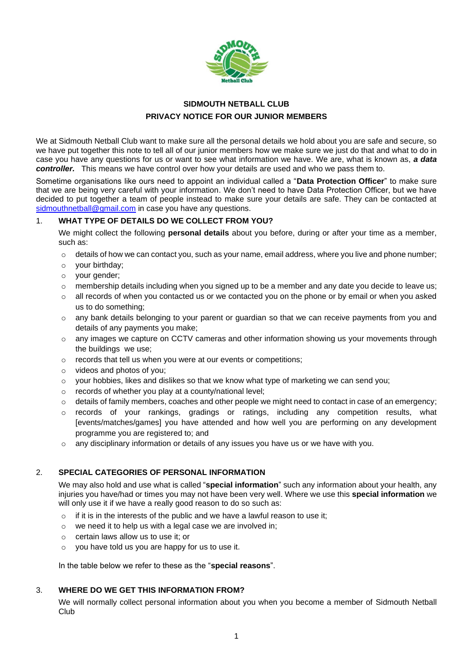

# **SIDMOUTH NETBALL CLUB PRIVACY NOTICE FOR OUR JUNIOR MEMBERS**

We at Sidmouth Netball Club want to make sure all the personal details we hold about you are safe and secure, so we have put together this note to tell all of our junior members how we make sure we just do that and what to do in case you have any questions for us or want to see what information we have. We are, what is known as, *a data controller.* This means we have control over how your details are used and who we pass them to.

Sometime organisations like ours need to appoint an individual called a "**Data Protection Officer**" to make sure that we are being very careful with your information. We don't need to have Data Protection Officer, but we have decided to put together a team of people instead to make sure your details are safe. They can be contacted at [sidmouthnetball@gmail.com](mailto:sidmouthnetball@gmail.com) in case you have any questions.

### 1. **WHAT TYPE OF DETAILS DO WE COLLECT FROM YOU?**

We might collect the following **personal details** about you before, during or after your time as a member, such as:

- $\circ$  details of how we can contact you, such as your name, email address, where you live and phone number;
- o your birthday;
- o your gender;
- $\circ$  membership details including when you signed up to be a member and any date you decide to leave us;
- $\circ$  all records of when you contacted us or we contacted you on the phone or by email or when you asked us to do something;
- $\circ$  any bank details belonging to your parent or guardian so that we can receive payments from you and details of any payments you make;
- $\circ$  any images we capture on CCTV cameras and other information showing us your movements through the buildings we use;
- o records that tell us when you were at our events or competitions;
- o videos and photos of you;
- $\circ$  your hobbies, likes and dislikes so that we know what type of marketing we can send you;
- o records of whether you play at a county/national level;
- $\circ$  details of family members, coaches and other people we might need to contact in case of an emergency;
- $\circ$  records of your rankings, gradings or ratings, including any competition results, what [events/matches/games] you have attended and how well you are performing on any development programme you are registered to; and
- $\circ$  any disciplinary information or details of any issues you have us or we have with you.

## 2. **SPECIAL CATEGORIES OF PERSONAL INFORMATION**

We may also hold and use what is called "**special information**" such any information about your health, any injuries you have/had or times you may not have been very well. Where we use this **special information** we will only use it if we have a really good reason to do so such as:

- o if it is in the interests of the public and we have a lawful reason to use it;
- o we need it to help us with a legal case we are involved in;
- o certain laws allow us to use it; or
- o you have told us you are happy for us to use it.

In the table below we refer to these as the "**special reasons**".

## 3. **WHERE DO WE GET THIS INFORMATION FROM?**

We will normally collect personal information about you when you become a member of Sidmouth Netball Club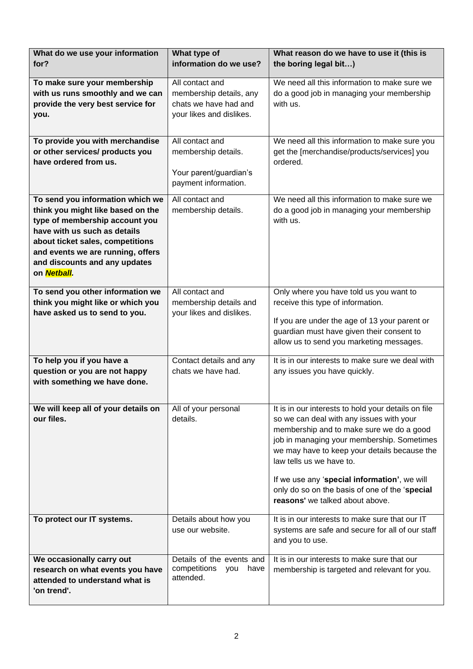| What do we use your information<br>for?                                                                                                                                                                                                                          | What type of<br>information do we use?                                                          | What reason do we have to use it (this is<br>the boring legal bit)                                                                                                                                                                                                                                                                                                                                         |
|------------------------------------------------------------------------------------------------------------------------------------------------------------------------------------------------------------------------------------------------------------------|-------------------------------------------------------------------------------------------------|------------------------------------------------------------------------------------------------------------------------------------------------------------------------------------------------------------------------------------------------------------------------------------------------------------------------------------------------------------------------------------------------------------|
| To make sure your membership<br>with us runs smoothly and we can<br>provide the very best service for<br>you.                                                                                                                                                    | All contact and<br>membership details, any<br>chats we have had and<br>your likes and dislikes. | We need all this information to make sure we<br>do a good job in managing your membership<br>with us.                                                                                                                                                                                                                                                                                                      |
| To provide you with merchandise<br>or other services/ products you<br>have ordered from us.                                                                                                                                                                      | All contact and<br>membership details.<br>Your parent/guardian's<br>payment information.        | We need all this information to make sure you<br>get the [merchandise/products/services] you<br>ordered.                                                                                                                                                                                                                                                                                                   |
| To send you information which we<br>think you might like based on the<br>type of membership account you<br>have with us such as details<br>about ticket sales, competitions<br>and events we are running, offers<br>and discounts and any updates<br>on Netball. | All contact and<br>membership details.                                                          | We need all this information to make sure we<br>do a good job in managing your membership<br>with us.                                                                                                                                                                                                                                                                                                      |
| To send you other information we<br>think you might like or which you<br>have asked us to send to you.                                                                                                                                                           | All contact and<br>membership details and<br>your likes and dislikes.                           | Only where you have told us you want to<br>receive this type of information.<br>If you are under the age of 13 your parent or<br>guardian must have given their consent to<br>allow us to send you marketing messages.                                                                                                                                                                                     |
| To help you if you have a<br>question or you are not happy<br>with something we have done.                                                                                                                                                                       | Contact details and any<br>chats we have had.                                                   | It is in our interests to make sure we deal with<br>any issues you have quickly.                                                                                                                                                                                                                                                                                                                           |
| We will keep all of your details on<br>our files.                                                                                                                                                                                                                | All of your personal<br>details.                                                                | It is in our interests to hold your details on file<br>so we can deal with any issues with your<br>membership and to make sure we do a good<br>job in managing your membership. Sometimes<br>we may have to keep your details because the<br>law tells us we have to.<br>If we use any 'special information', we will<br>only do so on the basis of one of the 'special<br>reasons' we talked about above. |
| To protect our IT systems.                                                                                                                                                                                                                                       | Details about how you<br>use our website.                                                       | It is in our interests to make sure that our IT<br>systems are safe and secure for all of our staff<br>and you to use.                                                                                                                                                                                                                                                                                     |
| We occasionally carry out<br>research on what events you have<br>attended to understand what is<br>'on trend'.                                                                                                                                                   | Details of the events and<br>competitions<br>have<br>you<br>attended.                           | It is in our interests to make sure that our<br>membership is targeted and relevant for you.                                                                                                                                                                                                                                                                                                               |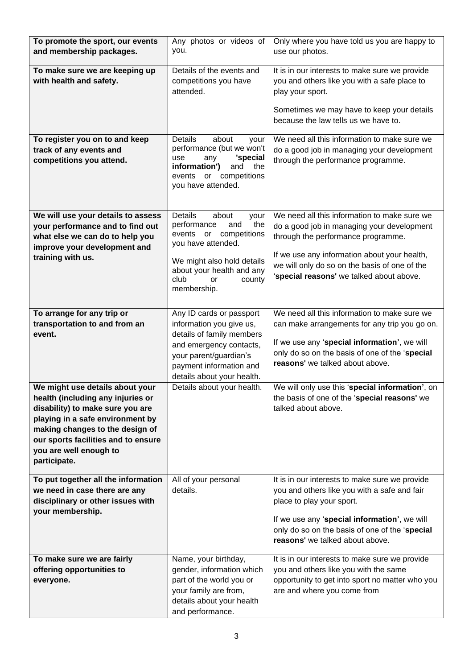| To promote the sport, our events<br>and membership packages.                                                                                                                                                                                                     | Any photos or videos of<br>you.                                                                                                                                                                                       | Only where you have told us you are happy to<br>use our photos.                                                                                                                                                                                                               |
|------------------------------------------------------------------------------------------------------------------------------------------------------------------------------------------------------------------------------------------------------------------|-----------------------------------------------------------------------------------------------------------------------------------------------------------------------------------------------------------------------|-------------------------------------------------------------------------------------------------------------------------------------------------------------------------------------------------------------------------------------------------------------------------------|
|                                                                                                                                                                                                                                                                  |                                                                                                                                                                                                                       |                                                                                                                                                                                                                                                                               |
| To make sure we are keeping up<br>with health and safety.                                                                                                                                                                                                        | Details of the events and<br>competitions you have<br>attended.                                                                                                                                                       | It is in our interests to make sure we provide<br>you and others like you with a safe place to<br>play your sport.<br>Sometimes we may have to keep your details<br>because the law tells us we have to.                                                                      |
| To register you on to and keep<br>track of any events and<br>competitions you attend.                                                                                                                                                                            | <b>Details</b><br>about<br>your<br>performance (but we won't<br>'special<br>use<br>any<br>information')<br>and<br>the<br>events or competitions<br>you have attended.                                                 | We need all this information to make sure we<br>do a good job in managing your development<br>through the performance programme.                                                                                                                                              |
| We will use your details to assess<br>your performance and to find out<br>what else we can do to help you<br>improve your development and<br>training with us.                                                                                                   | <b>Details</b><br>about<br>your<br>the<br>performance<br>and<br>events or competitions<br>you have attended.<br>We might also hold details<br>about your health and any<br>club<br>county<br><b>or</b><br>membership. | We need all this information to make sure we<br>do a good job in managing your development<br>through the performance programme.<br>If we use any information about your health,<br>we will only do so on the basis of one of the<br>'special reasons' we talked about above. |
| To arrange for any trip or<br>transportation to and from an<br>event.                                                                                                                                                                                            | Any ID cards or passport<br>information you give us,<br>details of family members<br>and emergency contacts,<br>your parent/guardian's<br>payment information and<br>details about your health.                       | We need all this information to make sure we<br>can make arrangements for any trip you go on.<br>If we use any 'special information', we will<br>only do so on the basis of one of the 'special<br>reasons' we talked about above.                                            |
| We might use details about your<br>health (including any injuries or<br>disability) to make sure you are<br>playing in a safe environment by<br>making changes to the design of<br>our sports facilities and to ensure<br>you are well enough to<br>participate. | Details about your health.                                                                                                                                                                                            | We will only use this 'special information', on<br>the basis of one of the 'special reasons' we<br>talked about above.                                                                                                                                                        |
| To put together all the information<br>we need in case there are any<br>disciplinary or other issues with<br>your membership.                                                                                                                                    | All of your personal<br>details.                                                                                                                                                                                      | It is in our interests to make sure we provide<br>you and others like you with a safe and fair<br>place to play your sport.<br>If we use any 'special information', we will<br>only do so on the basis of one of the 'special<br>reasons' we talked about above.              |
| To make sure we are fairly<br>offering opportunities to<br>everyone.                                                                                                                                                                                             | Name, your birthday,<br>gender, information which<br>part of the world you or<br>your family are from,<br>details about your health<br>and performance.                                                               | It is in our interests to make sure we provide<br>you and others like you with the same<br>opportunity to get into sport no matter who you<br>are and where you come from                                                                                                     |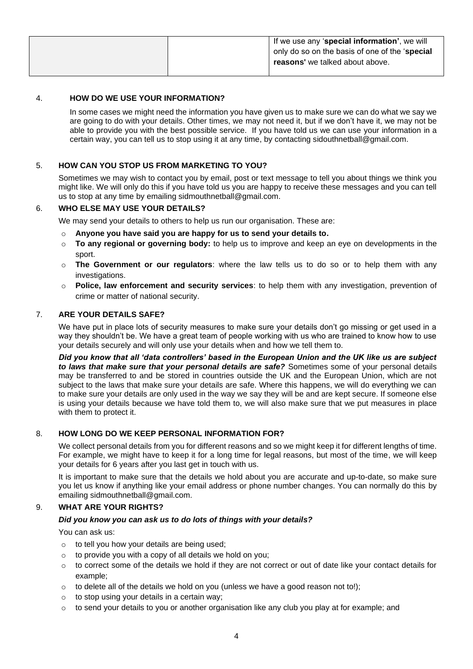| If we use any 'special information', we will   |
|------------------------------------------------|
| only do so on the basis of one of the 'special |
| reasons' we talked about above.                |
|                                                |

### 4. **HOW DO WE USE YOUR INFORMATION?**

In some cases we might need the information you have given us to make sure we can do what we say we are going to do with your details. Other times, we may not need it, but if we don't have it, we may not be able to provide you with the best possible service. If you have told us we can use your information in a certain way, you can tell us to stop using it at any time, by contacting sidouthnetball@gmail.com.

### 5. **HOW CAN YOU STOP US FROM MARKETING TO YOU?**

Sometimes we may wish to contact you by email, post or text message to tell you about things we think you might like. We will only do this if you have told us you are happy to receive these messages and you can tell us to stop at any time by emailing sidmouthnetball@gmail.com.

### 6. **WHO ELSE MAY USE YOUR DETAILS?**

We may send your details to others to help us run our organisation. These are:

- o **Anyone you have said you are happy for us to send your details to.**
- o **To any regional or governing body:** to help us to improve and keep an eye on developments in the sport.
- o **The Government or our regulators**: where the law tells us to do so or to help them with any investigations.
- o **Police, law enforcement and security services**: to help them with any investigation, prevention of crime or matter of national security.

### 7. **ARE YOUR DETAILS SAFE?**

We have put in place lots of security measures to make sure your details don't go missing or get used in a way they shouldn't be. We have a great team of people working with us who are trained to know how to use your details securely and will only use your details when and how we tell them to.

*Did you know that all 'data controllers' based in the European Union and the UK like us are subject to laws that make sure that your personal details are safe?* Sometimes some of your personal details may be transferred to and be stored in countries outside the UK and the European Union, which are not subject to the laws that make sure your details are safe. Where this happens, we will do everything we can to make sure your details are only used in the way we say they will be and are kept secure. If someone else is using your details because we have told them to, we will also make sure that we put measures in place with them to protect it.

### 8. **HOW LONG DO WE KEEP PERSONAL INFORMATION FOR?**

We collect personal details from you for different reasons and so we might keep it for different lengths of time. For example, we might have to keep it for a long time for legal reasons, but most of the time, we will keep your details for 6 years after you last get in touch with us.

It is important to make sure that the details we hold about you are accurate and up-to-date, so make sure you let us know if anything like your email address or phone number changes. You can normally do this by emailing sidmouthnetball@gmail.com.

## 9. **WHAT ARE YOUR RIGHTS?**

#### *Did you know you can ask us to do lots of things with your details?*

You can ask us:

- $\circ$  to tell you how your details are being used:
- $\circ$  to provide you with a copy of all details we hold on you;
- $\circ$  to correct some of the details we hold if they are not correct or out of date like your contact details for example;
- $\circ$  to delete all of the details we hold on you (unless we have a good reason not to!);
- $\circ$  to stop using your details in a certain way;
- $\circ$  to send your details to you or another organisation like any club you play at for example; and